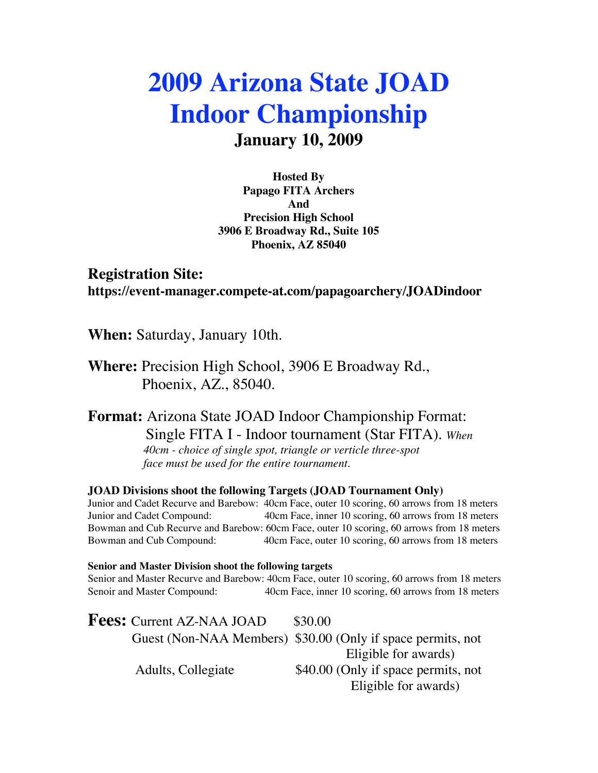# **2009 Arizona State JOAD Indoor Championship January 10, 2009**

**Hosted By Papago FITA Archers And Precision High School 3906 E Broadway Rd., Suite 105 Phoenix, AZ 85040**

**Registration Site: https://event-manager.compete-at.com/papagoarchery/JOADindoor**

**When:** Saturday, January 10th.

**Where:** Precision High School, 3906 E Broadway Rd., Phoenix, AZ., 85040.

**Format:** Arizona State JOAD Indoor Championship Format: Single FITA I - Indoor tournament (Star FITA). *When 40cm - choice of single spot, triangle or verticle three-spot face must be used for the entire tournament.*

**JOAD Divisions shoot the following Targets (JOAD Tournament Only)**

Junior and Cadet Recurve and Barebow: 40cm Face, outer 10 scoring, 60 arrows from 18 meters Junior and Cadet Compound: 40cm Face, inner 10 scoring, 60 arrows from 18 meters Bowman and Cub Recurve and Barebow: 60cm Face, outer 10 scoring, 60 arrows from 18 meters Bowman and Cub Compound: 40cm Face, outer 10 scoring, 60 arrows from 18 meters

**Senior and Master Division shoot the following targets** Senior and Master Recurve and Barebow: 40cm Face, outer 10 scoring, 60 arrows from 18 meters Senoir and Master Compound: 40cm Face, inner 10 scoring, 60 arrows from 18 meters

**Fees:** Current AZ-NAA JOAD \$30.00 Guest (Non-NAA Members) \$30.00 (Only if space permits, not Eligible for awards) Adults, Collegiate  $$40.00$  (Only if space permits, not Eligible for awards)